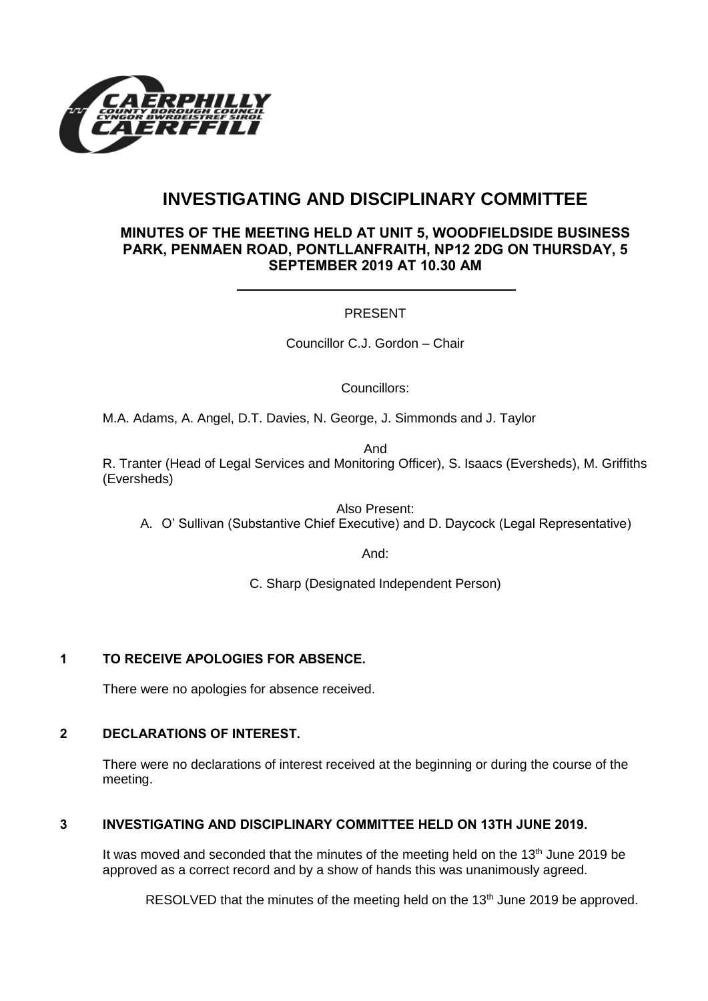

# **INVESTIGATING AND DISCIPLINARY COMMITTEE**

## **MINUTES OF THE MEETING HELD AT UNIT 5, WOODFIELDSIDE BUSINESS PARK, PENMAEN ROAD, PONTLLANFRAITH, NP12 2DG ON THURSDAY, 5 SEPTEMBER 2019 AT 10.30 AM**

### PRESENT

Councillor C.J. Gordon – Chair

Councillors:

M.A. Adams, A. Angel, D.T. Davies, N. George, J. Simmonds and J. Taylor

And

R. Tranter (Head of Legal Services and Monitoring Officer), S. Isaacs (Eversheds), M. Griffiths (Eversheds)

Also Present:

A. O' Sullivan (Substantive Chief Executive) and D. Daycock (Legal Representative)

And:

C. Sharp (Designated Independent Person)

### **1 TO RECEIVE APOLOGIES FOR ABSENCE.**

There were no apologies for absence received.

# **2 DECLARATIONS OF INTEREST.**

There were no declarations of interest received at the beginning or during the course of the meeting.

# **3 INVESTIGATING AND DISCIPLINARY COMMITTEE HELD ON 13TH JUNE 2019.**

It was moved and seconded that the minutes of the meeting held on the  $13<sup>th</sup>$  June 2019 be approved as a correct record and by a show of hands this was unanimously agreed.

RESOLVED that the minutes of the meeting held on the 13<sup>th</sup> June 2019 be approved.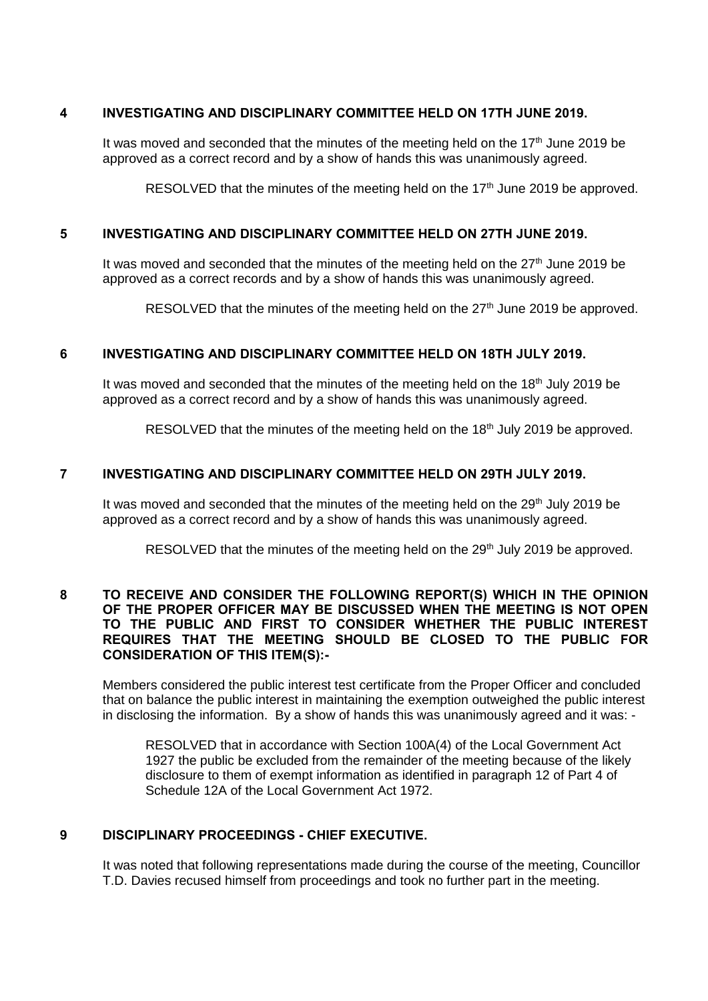#### **4 INVESTIGATING AND DISCIPLINARY COMMITTEE HELD ON 17TH JUNE 2019.**

It was moved and seconded that the minutes of the meeting held on the  $17<sup>th</sup>$  June 2019 be approved as a correct record and by a show of hands this was unanimously agreed.

RESOLVED that the minutes of the meeting held on the  $17<sup>th</sup>$  June 2019 be approved.

#### **5 INVESTIGATING AND DISCIPLINARY COMMITTEE HELD ON 27TH JUNE 2019.**

It was moved and seconded that the minutes of the meeting held on the  $27<sup>th</sup>$  June 2019 be approved as a correct records and by a show of hands this was unanimously agreed.

RESOLVED that the minutes of the meeting held on the  $27<sup>th</sup>$  June 2019 be approved.

#### **6 INVESTIGATING AND DISCIPLINARY COMMITTEE HELD ON 18TH JULY 2019.**

It was moved and seconded that the minutes of the meeting held on the  $18<sup>th</sup>$  July 2019 be approved as a correct record and by a show of hands this was unanimously agreed.

RESOLVED that the minutes of the meeting held on the 18<sup>th</sup> July 2019 be approved.

#### **7 INVESTIGATING AND DISCIPLINARY COMMITTEE HELD ON 29TH JULY 2019.**

It was moved and seconded that the minutes of the meeting held on the 29<sup>th</sup> July 2019 be approved as a correct record and by a show of hands this was unanimously agreed.

RESOLVED that the minutes of the meeting held on the  $29<sup>th</sup>$  July 2019 be approved.

#### **8 TO RECEIVE AND CONSIDER THE FOLLOWING REPORT(S) WHICH IN THE OPINION OF THE PROPER OFFICER MAY BE DISCUSSED WHEN THE MEETING IS NOT OPEN TO THE PUBLIC AND FIRST TO CONSIDER WHETHER THE PUBLIC INTEREST REQUIRES THAT THE MEETING SHOULD BE CLOSED TO THE PUBLIC FOR CONSIDERATION OF THIS ITEM(S):-**

Members considered the public interest test certificate from the Proper Officer and concluded that on balance the public interest in maintaining the exemption outweighed the public interest in disclosing the information. By a show of hands this was unanimously agreed and it was: -

RESOLVED that in accordance with Section 100A(4) of the Local Government Act 1927 the public be excluded from the remainder of the meeting because of the likely disclosure to them of exempt information as identified in paragraph 12 of Part 4 of Schedule 12A of the Local Government Act 1972.

#### **9 DISCIPLINARY PROCEEDINGS - CHIEF EXECUTIVE.**

It was noted that following representations made during the course of the meeting, Councillor T.D. Davies recused himself from proceedings and took no further part in the meeting.